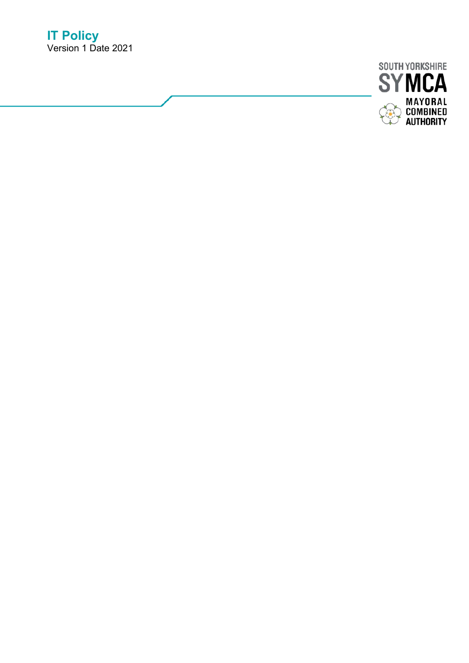

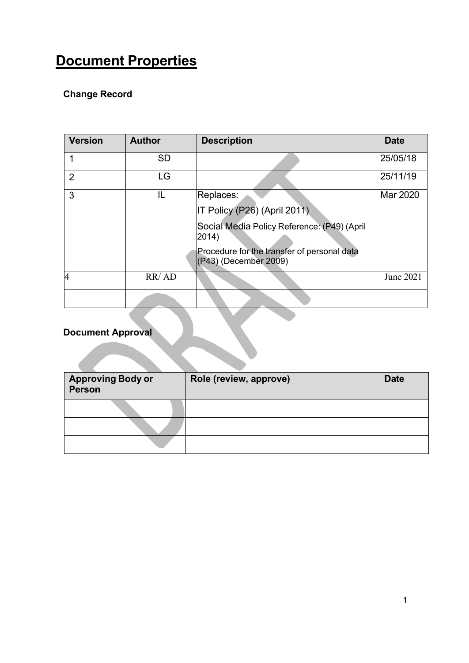# <span id="page-1-0"></span>**Document Properties**

# **Change Record**

| <b>Version</b> | <b>Author</b> | <b>Description</b>                                                   | <b>Date</b> |
|----------------|---------------|----------------------------------------------------------------------|-------------|
|                | <b>SD</b>     |                                                                      | 25/05/18    |
| $\overline{2}$ | LG            |                                                                      | 25/11/19    |
| 3              | IL            | Replaces:<br>IT Policy (P26) (April 2011)                            | Mar 2020    |
|                |               | Social Media Policy Reference: (P49) (April<br>2014)                 |             |
|                |               | Procedure for the transfer of personal data<br>(P43) (December 2009) |             |
| 4              | RR/AD         |                                                                      | June 2021   |
|                |               |                                                                      |             |

# **Document Approval**

| <b>Approving Body or</b><br>Person | Role (review, approve) | <b>Date</b> |
|------------------------------------|------------------------|-------------|
|                                    |                        |             |
|                                    |                        |             |
|                                    |                        |             |

 $\mathcal{N}$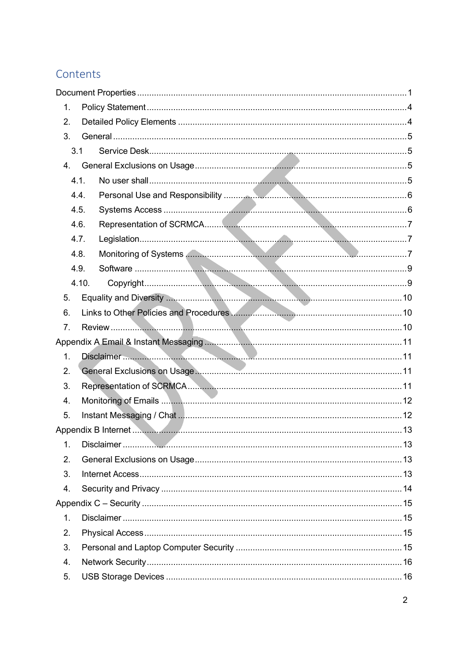# Contents

| 1. |       |  |  |  |
|----|-------|--|--|--|
| 2. |       |  |  |  |
| 3. |       |  |  |  |
|    | 3.1   |  |  |  |
| 4. |       |  |  |  |
|    | 4.1.  |  |  |  |
|    | 4.4.  |  |  |  |
|    | 4.5.  |  |  |  |
|    | 4.6.  |  |  |  |
|    | 4.7.  |  |  |  |
|    | 4.8.  |  |  |  |
|    | 4.9.  |  |  |  |
|    | 4.10. |  |  |  |
| 5. |       |  |  |  |
| 6. |       |  |  |  |
| 7. |       |  |  |  |
|    |       |  |  |  |
| 1. |       |  |  |  |
| 2. |       |  |  |  |
| 3. |       |  |  |  |
| 4. |       |  |  |  |
| 5. |       |  |  |  |
|    |       |  |  |  |
| 1. |       |  |  |  |
| 2. |       |  |  |  |
| 3. |       |  |  |  |
| 4. |       |  |  |  |
|    |       |  |  |  |
| 1. |       |  |  |  |
| 2. |       |  |  |  |
| 3. |       |  |  |  |
| 4. |       |  |  |  |
| 5. |       |  |  |  |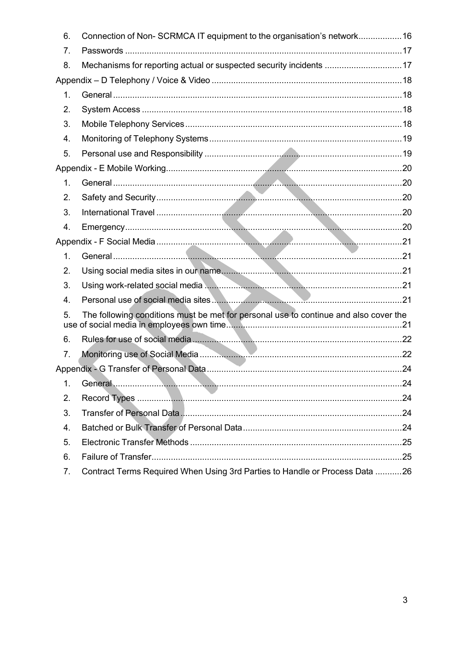| 6.                                                                                         | Connection of Non-SCRMCA IT equipment to the organisation's network16       |  |  |  |
|--------------------------------------------------------------------------------------------|-----------------------------------------------------------------------------|--|--|--|
| 7.                                                                                         |                                                                             |  |  |  |
| 8.                                                                                         | Mechanisms for reporting actual or suspected security incidents 17          |  |  |  |
|                                                                                            |                                                                             |  |  |  |
| 1.                                                                                         |                                                                             |  |  |  |
| 2.                                                                                         |                                                                             |  |  |  |
| 3.                                                                                         |                                                                             |  |  |  |
| 4.                                                                                         |                                                                             |  |  |  |
| 5.                                                                                         |                                                                             |  |  |  |
|                                                                                            |                                                                             |  |  |  |
| 1.                                                                                         |                                                                             |  |  |  |
| 2.                                                                                         |                                                                             |  |  |  |
| 3.                                                                                         |                                                                             |  |  |  |
| 4.                                                                                         |                                                                             |  |  |  |
|                                                                                            |                                                                             |  |  |  |
| 1.                                                                                         |                                                                             |  |  |  |
| 2.                                                                                         |                                                                             |  |  |  |
| 3.                                                                                         |                                                                             |  |  |  |
| 4.                                                                                         |                                                                             |  |  |  |
| The following conditions must be met for personal use to continue and also cover the<br>5. |                                                                             |  |  |  |
| 6.                                                                                         |                                                                             |  |  |  |
| 7.                                                                                         |                                                                             |  |  |  |
|                                                                                            |                                                                             |  |  |  |
| 1.                                                                                         |                                                                             |  |  |  |
| 2.                                                                                         |                                                                             |  |  |  |
| 3.                                                                                         |                                                                             |  |  |  |
| 4.                                                                                         |                                                                             |  |  |  |
| 5.                                                                                         |                                                                             |  |  |  |
| 6.                                                                                         |                                                                             |  |  |  |
| 7.                                                                                         | Contract Terms Required When Using 3rd Parties to Handle or Process Data 26 |  |  |  |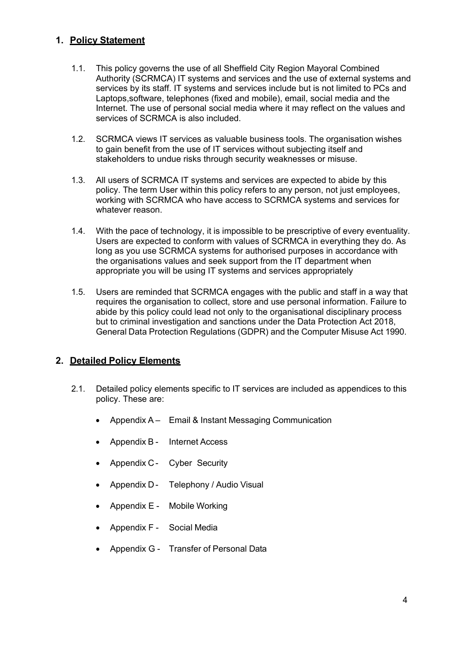# <span id="page-4-0"></span>**1. Policy Statement**

- 1.1. This policy governs the use of all Sheffield City Region Mayoral Combined Authority (SCRMCA) IT systems and services and the use of external systems and services by its staff. IT systems and services include but is not limited to PCs and Laptops,software, telephones (fixed and mobile), email, social media and the Internet. The use of personal social media where it may reflect on the values and services of SCRMCA is also included.
- 1.2. SCRMCA views IT services as valuable business tools. The organisation wishes to gain benefit from the use of IT services without subjecting itself and stakeholders to undue risks through security weaknesses or misuse.
- 1.3. All users of SCRMCA IT systems and services are expected to abide by this policy. The term User within this policy refers to any person, not just employees, working with SCRMCA who have access to SCRMCA systems and services for whatever reason.
- 1.4. With the pace of technology, it is impossible to be prescriptive of every eventuality. Users are expected to conform with values of SCRMCA in everything they do. As long as you use SCRMCA systems for authorised purposes in accordance with the organisations values and seek support from the IT department when appropriate you will be using IT systems and services appropriately
- 1.5. Users are reminded that SCRMCA engages with the public and staff in a way that requires the organisation to collect, store and use personal information. Failure to abide by this policy could lead not only to the organisational disciplinary process but to criminal investigation and sanctions under the Data Protection Act 2018, General Data Protection Regulations (GDPR) and the Computer Misuse Act 1990.

# <span id="page-4-1"></span>**2. Detailed Policy Elements**

- 2.1. Detailed policy elements specific to IT services are included as appendices to this policy. These are:
	- Appendix A Email & Instant Messaging Communication
	- Appendix B Internet Access
	- Appendix C Cyber Security
	- Appendix D Telephony / Audio Visual
	- Appendix E Mobile Working
	- Appendix F Social Media
	- Appendix G Transfer of Personal Data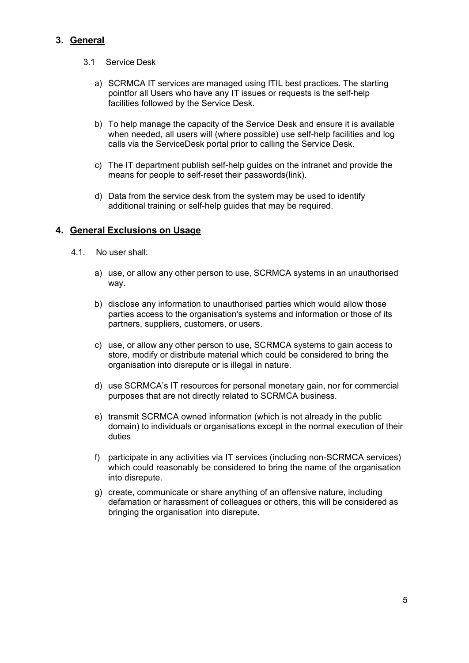# <span id="page-5-1"></span><span id="page-5-0"></span>**3. General**

- 3.1 Service Desk
	- a) SCRMCA IT services are managed using ITIL best practices. The starting pointfor all Users who have any IT issues or requests is the self-help facilities followed by the Service Desk.
	- b) To help manage the capacity of the Service Desk and ensure it is available when needed, all users will (where possible) use self-help facilities and log calls via the ServiceDesk portal prior to calling the Service Desk.
	- c) The IT department publish self-help guides on the intranet and provide the means for people to self-reset their passwords(link).
	- d) Data from the service desk from the system may be used to identify additional training or self-help quides that may be required.

# <span id="page-5-3"></span><span id="page-5-2"></span>**4. General Exclusions on Usage**

- 4.1. No user shall:
	- a) use, or allow any other person to use, SCRMCA systems in an unauthorised way.
	- b) disclose any information to unauthorised parties which would allow those parties access to the organisation's systems and information or those of its partners, suppliers, customers, or users.
	- c) use, or allow any other person to use, SCRMCA systems to gain access to store, modify or distribute material which could be considered to bring the organisation into disrepute or is illegal in nature.
	- d) use SCRMCA's IT resources for personal monetary gain, nor for commercial purposes that are not directly related to SCRMCA business.
	- e) transmit SCRMCA owned information (which is not already in the public domain) to individuals or organisations except in the normal execution of their duties
	- f) participate in any activities via IT services (including non-SCRMCA services) which could reasonably be considered to bring the name of the organisation into disrepute.
	- g) create, communicate or share anything of an offensive nature, including defamation or harassment of colleagues or others, this will be considered as bringing the organisation into disrepute.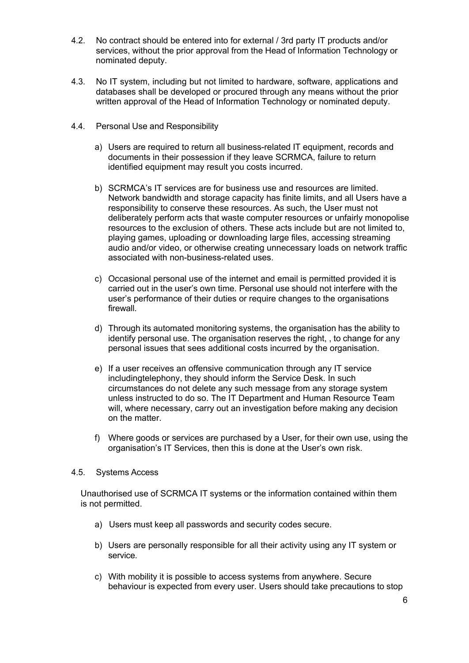- 4.2. No contract should be entered into for external / 3rd party IT products and/or services, without the prior approval from the Head of Information Technology or nominated deputy.
- 4.3. No IT system, including but not limited to hardware, software, applications and databases shall be developed or procured through any means without the prior written approval of the Head of Information Technology or nominated deputy.
- <span id="page-6-0"></span>4.4. Personal Use and Responsibility
	- a) Users are required to return all business-related IT equipment, records and documents in their possession if they leave SCRMCA, failure to return identified equipment may result you costs incurred.
	- b) SCRMCA's IT services are for business use and resources are limited. Network bandwidth and storage capacity has finite limits, and all Users have a responsibility to conserve these resources. As such, the User must not deliberately perform acts that waste computer resources or unfairly monopolise resources to the exclusion of others. These acts include but are not limited to, playing games, uploading or downloading large files, accessing streaming audio and/or video, or otherwise creating unnecessary loads on network traffic associated with non-business-related uses.
	- c) Occasional personal use of the internet and email is permitted provided it is carried out in the user's own time. Personal use should not interfere with the user's performance of their duties or require changes to the organisations firewall.
	- d) Through its automated monitoring systems, the organisation has the ability to identify personal use. The organisation reserves the right, , to change for any personal issues that sees additional costs incurred by the organisation.
	- e) If a user receives an offensive communication through any IT service includingtelephony, they should inform the Service Desk. In such circumstances do not delete any such message from any storage system unless instructed to do so. The IT Department and Human Resource Team will, where necessary, carry out an investigation before making any decision on the matter.
	- f) Where goods or services are purchased by a User, for their own use, using the organisation's IT Services, then this is done at the User's own risk.

#### <span id="page-6-1"></span>4.5. Systems Access

Unauthorised use of SCRMCA IT systems or the information contained within them is not permitted.

- a) Users must keep all passwords and security codes secure.
- b) Users are personally responsible for all their activity using any IT system or service.
- c) With mobility it is possible to access systems from anywhere. Secure behaviour is expected from every user. Users should take precautions to stop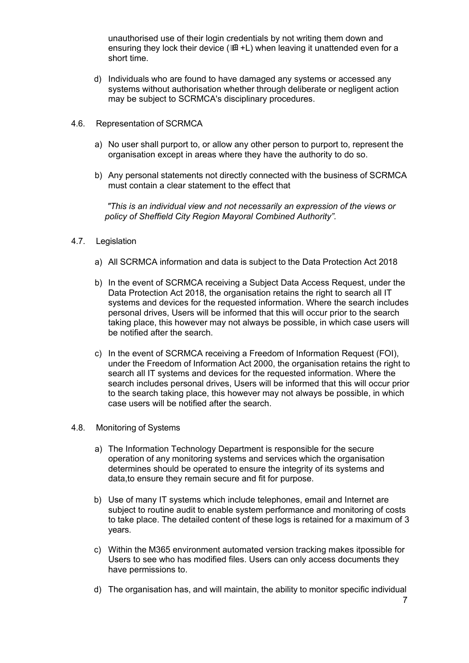unauthorised use of their login credentials by not writing them down and ensuring they lock their device ( $\mathbb{H}$ +L) when leaving it unattended even for a short time.

- d) Individuals who are found to have damaged any systems or accessed any systems without authorisation whether through deliberate or negligent action may be subject to SCRMCA's disciplinary procedures.
- 4.6. Representation of SCRMCA
	- a) No user shall purport to, or allow any other person to purport to, represent the organisation except in areas where they have the authority to do so.
	- b) Any personal statements not directly connected with the business of SCRMCA must contain a clear statement to the effect that

*"This is an individual view and not necessarily an expression of the views or policy of Sheffield City Region Mayoral Combined Authority".*

- 4.7. Legislation
	- a) All SCRMCA information and data is subject to the Data Protection Act 2018
	- b) In the event of SCRMCA receiving a Subject Data Access Request, under the Data Protection Act 2018, the organisation retains the right to search all IT systems and devices for the requested information. Where the search includes personal drives, Users will be informed that this will occur prior to the search taking place, this however may not always be possible, in which case users will be notified after the search.
	- c) In the event of SCRMCA receiving a Freedom of Information Request (FOI), under the Freedom of Information Act 2000, the organisation retains the right to search all IT systems and devices for the requested information. Where the search includes personal drives, Users will be informed that this will occur prior to the search taking place, this however may not always be possible, in which case users will be notified after the search.
- <span id="page-7-0"></span>4.8. Monitoring of Systems
	- a) The Information Technology Department is responsible for the secure operation of any monitoring systems and services which the organisation determines should be operated to ensure the integrity of its systems and data,to ensure they remain secure and fit for purpose.
	- b) Use of many IT systems which include telephones, email and Internet are subject to routine audit to enable system performance and monitoring of costs to take place. The detailed content of these logs is retained for a maximum of 3 years.
	- c) Within the M365 environment automated version tracking makes itpossible for Users to see who has modified files. Users can only access documents they have permissions to.
	- d) The organisation has, and will maintain, the ability to monitor specific individual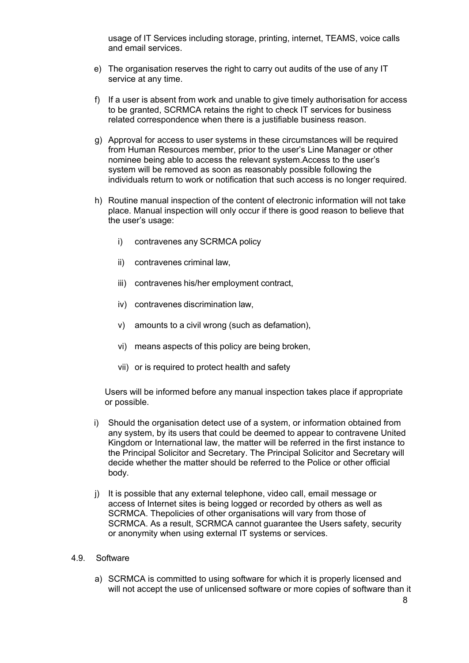usage of IT Services including storage, printing, internet, TEAMS, voice calls and email services.

- e) The organisation reserves the right to carry out audits of the use of any IT service at any time.
- f) If a user is absent from work and unable to give timely authorisation for access to be granted, SCRMCA retains the right to check IT services for business related correspondence when there is a justifiable business reason.
- g) Approval for access to user systems in these circumstances will be required from Human Resources member, prior to the user's Line Manager or other nominee being able to access the relevant system.Access to the user's system will be removed as soon as reasonably possible following the individuals return to work or notification that such access is no longer required.
- h) Routine manual inspection of the content of electronic information will not take place. Manual inspection will only occur if there is good reason to believe that the user's usage:
	- i) contravenes any SCRMCA policy
	- ii) contravenes criminal law,
	- iii) contravenes his/her employment contract,
	- iv) contravenes discrimination law,
	- v) amounts to a civil wrong (such as defamation),
	- vi) means aspects of this policy are being broken,
	- vii) or is required to protect health and safety

Users will be informed before any manual inspection takes place if appropriate or possible.

- i) Should the organisation detect use of a system, or information obtained from any system, by its users that could be deemed to appear to contravene United Kingdom or International law, the matter will be referred in the first instance to the Principal Solicitor and Secretary. The Principal Solicitor and Secretary will decide whether the matter should be referred to the Police or other official body.
- j) It is possible that any external telephone, video call, email message or access of Internet sites is being logged or recorded by others as well as SCRMCA. Thepolicies of other organisations will vary from those of SCRMCA. As a result, SCRMCA cannot guarantee the Users safety, security or anonymity when using external IT systems or services.

#### <span id="page-8-0"></span>4.9. Software

a) SCRMCA is committed to using software for which it is properly licensed and will not accept the use of unlicensed software or more copies of software than it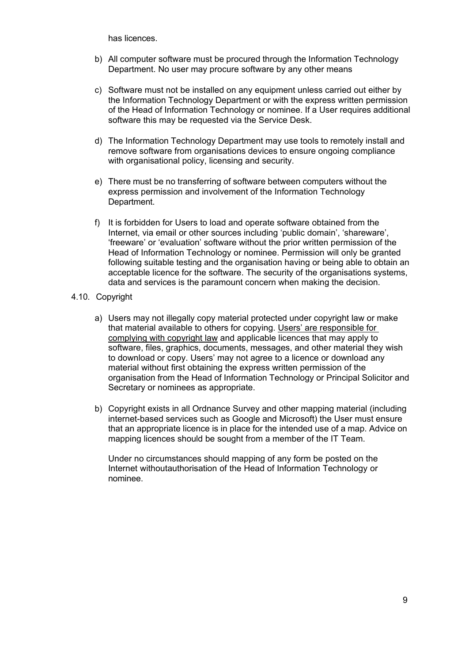has licences.

- b) All computer software must be procured through the Information Technology Department. No user may procure software by any other means
- c) Software must not be installed on any equipment unless carried out either by the Information Technology Department or with the express written permission of the Head of Information Technology or nominee. If a User requires additional software this may be requested via the Service Desk.
- d) The Information Technology Department may use tools to remotely install and remove software from organisations devices to ensure ongoing compliance with organisational policy, licensing and security.
- e) There must be no transferring of software between computers without the express permission and involvement of the Information Technology Department.
- f) It is forbidden for Users to load and operate software obtained from the Internet, via email or other sources including 'public domain', 'shareware', 'freeware' or 'evaluation' software without the prior written permission of the Head of Information Technology or nominee. Permission will only be granted following suitable testing and the organisation having or being able to obtain an acceptable licence for the software. The security of the organisations systems, data and services is the paramount concern when making the decision.
- <span id="page-9-0"></span>4.10. Copyright
	- a) Users may not illegally copy material protected under copyright law or make that material available to others for copying. Users' are responsible for complying with copyright law and applicable licences that may apply to software, files, graphics, documents, messages, and other material they wish to download or copy. Users' may not agree to a licence or download any material without first obtaining the express written permission of the organisation from the Head of Information Technology or Principal Solicitor and Secretary or nominees as appropriate.
	- b) Copyright exists in all Ordnance Survey and other mapping material (including internet-based services such as Google and Microsoft) the User must ensure that an appropriate licence is in place for the intended use of a map. Advice on mapping licences should be sought from a member of the IT Team.

Under no circumstances should mapping of any form be posted on the Internet withoutauthorisation of the Head of Information Technology or nominee.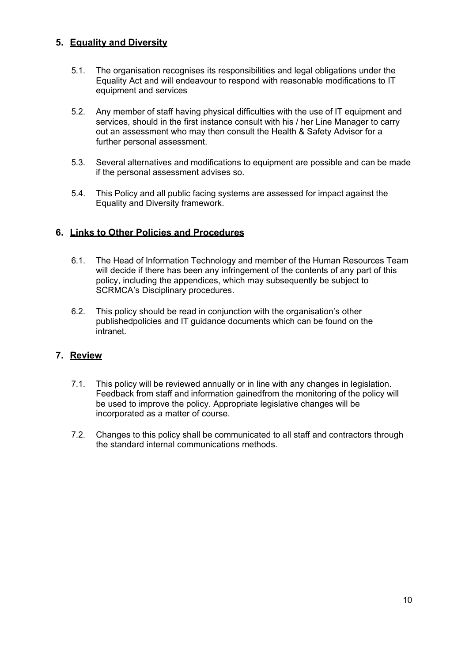# <span id="page-10-0"></span>**5. Equality and Diversity**

- 5.1. The organisation recognises its responsibilities and legal obligations under the Equality Act and will endeavour to respond with reasonable modifications to IT equipment and services
- 5.2. Any member of staff having physical difficulties with the use of IT equipment and services, should in the first instance consult with his / her Line Manager to carry out an assessment who may then consult the Health & Safety Advisor for a further personal assessment.
- 5.3. Several alternatives and modifications to equipment are possible and can be made if the personal assessment advises so.
- 5.4. This Policy and all public facing systems are assessed for impact against the Equality and Diversity framework.

# <span id="page-10-1"></span>**6. Links to Other Policies and Procedures**

- 6.1. The Head of Information Technology and member of the Human Resources Team will decide if there has been any infringement of the contents of any part of this policy, including the appendices, which may subsequently be subject to SCRMCA's Disciplinary procedures.
- 6.2. This policy should be read in conjunction with the organisation's other publishedpolicies and IT guidance documents which can be found on the intranet.

# <span id="page-10-2"></span>**7. Review**

- 7.1. This policy will be reviewed annually or in line with any changes in legislation. Feedback from staff and information gainedfrom the monitoring of the policy will be used to improve the policy. Appropriate legislative changes will be incorporated as a matter of course.
- 7.2. Changes to this policy shall be communicated to all staff and contractors through the standard internal communications methods.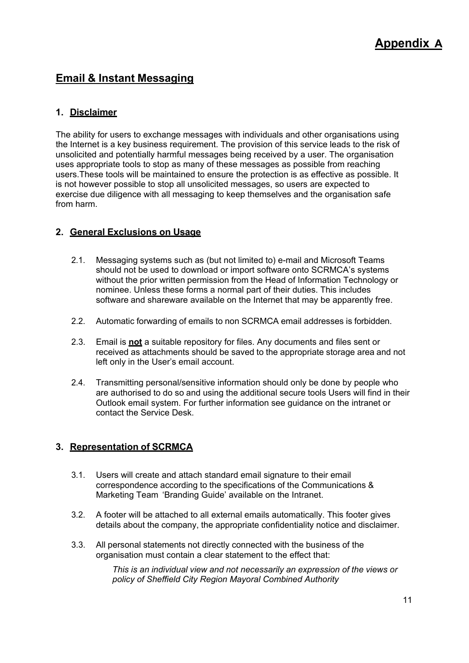# <span id="page-11-0"></span>**Email & Instant Messaging**

# <span id="page-11-1"></span>**1. Disclaimer**

The ability for users to exchange messages with individuals and other organisations using the Internet is a key business requirement. The provision of this service leads to the risk of unsolicited and potentially harmful messages being received by a user. The organisation uses appropriate tools to stop as many of these messages as possible from reaching users.These tools will be maintained to ensure the protection is as effective as possible. It is not however possible to stop all unsolicited messages, so users are expected to exercise due diligence with all messaging to keep themselves and the organisation safe from harm.

# <span id="page-11-2"></span>**2. General Exclusions on Usage**

- 2.1. Messaging systems such as (but not limited to) e-mail and Microsoft Teams should not be used to download or import software onto SCRMCA's systems without the prior written permission from the Head of Information Technology or nominee. Unless these forms a normal part of their duties. This includes software and shareware available on the Internet that may be apparently free.
- 2.2. Automatic forwarding of emails to non SCRMCA email addresses is forbidden.
- 2.3. Email is **not** a suitable repository for files. Any documents and files sent or received as attachments should be saved to the appropriate storage area and not left only in the User's email account.
- 2.4. Transmitting personal/sensitive information should only be done by people who are authorised to do so and using the additional secure tools Users will find in their Outlook email system. For further information see guidance on the intranet or contact the Service Desk.

# <span id="page-11-3"></span>**3. Representation of SCRMCA**

- 3.1. Users will create and attach standard email signature to their email correspondence according to the specifications of the Communications & Marketing Team 'Branding Guide' available on the Intranet.
- 3.2. A footer will be attached to all external emails automatically. This footer gives details about the company, the appropriate confidentiality notice and disclaimer.
- 3.3. All personal statements not directly connected with the business of the organisation must contain a clear statement to the effect that:

*This is an individual view and not necessarily an expression of the views or policy of Sheffield City Region Mayoral Combined Authority*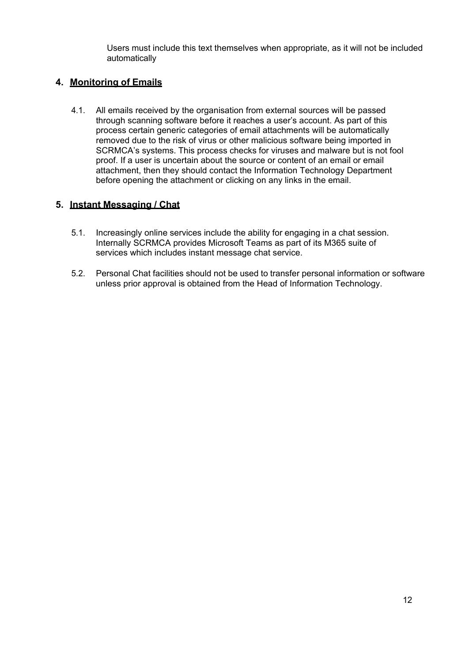Users must include this text themselves when appropriate, as it will not be included automatically

# **4. Monitoring of Emails**

4.1. All emails received by the organisation from external sources will be passed through scanning software before it reaches a user's account. As part of this process certain generic categories of email attachments will be automatically removed due to the risk of virus or other malicious software being imported in SCRMCA's systems. This process checks for viruses and malware but is not fool proof. If a user is uncertain about the source or content of an email or email attachment, then they should contact the Information Technology Department before opening the attachment or clicking on any links in the email.

# **5. Instant Messaging / Chat**

- 5.1. Increasingly online services include the ability for engaging in a chat session. Internally SCRMCA provides Microsoft Teams as part of its M365 suite of services which includes instant message chat service.
- 5.2. Personal Chat facilities should not be used to transfer personal information or software unless prior approval is obtained from the Head of Information Technology.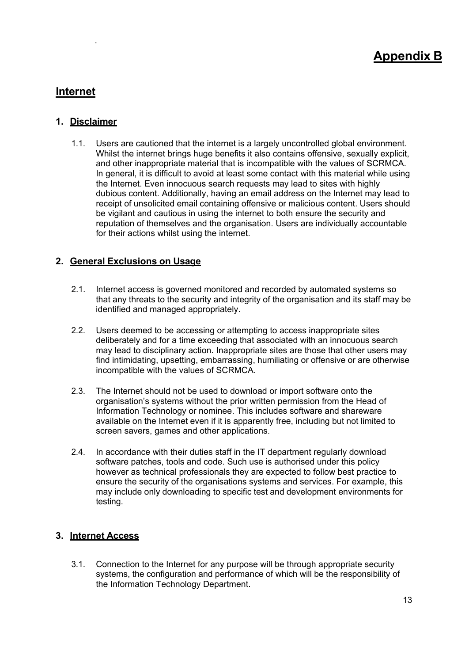# <span id="page-13-3"></span>**Internet**

#### <span id="page-13-1"></span>**1. Disclaimer**

<span id="page-13-0"></span>.

1.1. Users are cautioned that the internet is a largely uncontrolled global environment. Whilst the internet brings huge benefits it also contains offensive, sexually explicit, and other inappropriate material that is incompatible with the values of SCRMCA. In general, it is difficult to avoid at least some contact with this material while using the Internet. Even innocuous search requests may lead to sites with highly dubious content. Additionally, having an email address on the Internet may lead to receipt of unsolicited email containing offensive or malicious content. Users should be vigilant and cautious in using the internet to both ensure the security and reputation of themselves and the organisation. Users are individually accountable for their actions whilst using the internet.

#### <span id="page-13-2"></span>**2. General Exclusions on Usage**

- 2.1. Internet access is governed monitored and recorded by automated systems so that any threats to the security and integrity of the organisation and its staff may be identified and managed appropriately.
- 2.2. Users deemed to be accessing or attempting to access inappropriate sites deliberately and for a time exceeding that associated with an innocuous search may lead to disciplinary action. Inappropriate sites are those that other users may find intimidating, upsetting, embarrassing, humiliating or offensive or are otherwise incompatible with the values of SCRMCA.
- 2.3. The Internet should not be used to download or import software onto the organisation's systems without the prior written permission from the Head of Information Technology or nominee. This includes software and shareware available on the Internet even if it is apparently free, including but not limited to screen savers, games and other applications.
- 2.4. In accordance with their duties staff in the IT department regularly download software patches, tools and code. Such use is authorised under this policy however as technical professionals they are expected to follow best practice to ensure the security of the organisations systems and services. For example, this may include only downloading to specific test and development environments for testing.

# **3. Internet Access**

3.1. Connection to the Internet for any purpose will be through appropriate security systems, the configuration and performance of which will be the responsibility of the Information Technology Department.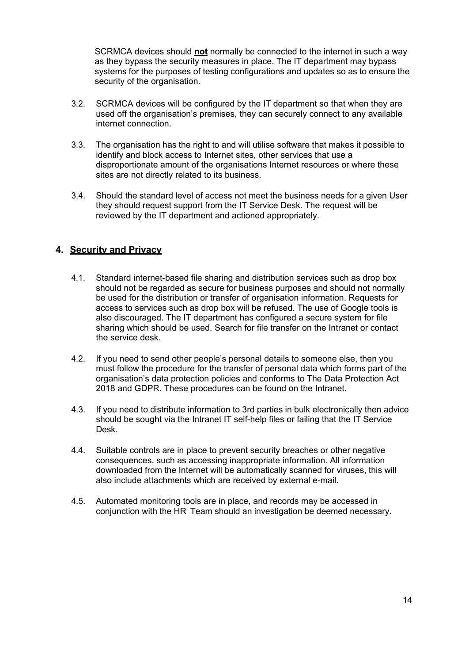SCRMCA devices should **not** normally be connected to the internet in such a way as they bypass the security measures in place. The IT department may bypass systems for the purposes of testing configurations and updates so as to ensure the security of the organisation.

- 3.2. SCRMCA devices will be configured by the IT department so that when they are used off the organisation's premises, they can securely connect to any available internet connection.
- 3.3. The organisation has the right to and will utilise software that makes it possible to identify and block access to Internet sites, other services that use a disproportionate amount of the organisations Internet resources or where these sites are not directly related to its business.
- 3.4. Should the standard level of access not meet the business needs for a given User they should request support from the IT Service Desk. The request will be reviewed by the IT department and actioned appropriately.

# <span id="page-14-0"></span>**4. Security and Privacy**

- 4.1. Standard internet-based file sharing and distribution services such as drop box should not be regarded as secure for business purposes and should not normally be used for the distribution or transfer of organisation information. Requests for access to services such as drop box will be refused. The use of Google tools is also discouraged. The IT department has configured a secure system for file sharing which should be used. Search for file transfer on the Intranet or contact the service desk.
- 4.2. If you need to send other people's personal details to someone else, then you must follow the procedure for the transfer of personal data which forms part of the organisation's data protection policies and conforms to The Data Protection Act 2018 and GDPR. These procedures can be found on the Intranet.
- 4.3. If you need to distribute information to 3rd parties in bulk electronically then advice should be sought via the Intranet IT self-help files or failing that the IT Service Desk.
- 4.4. Suitable controls are in place to prevent security breaches or other negative consequences, such as accessing inappropriate information. All information downloaded from the Internet will be automatically scanned for viruses, this will also include attachments which are received by external e-mail.
- 4.5. Automated monitoring tools are in place, and records may be accessed in conjunction with the HR Team should an investigation be deemed necessary.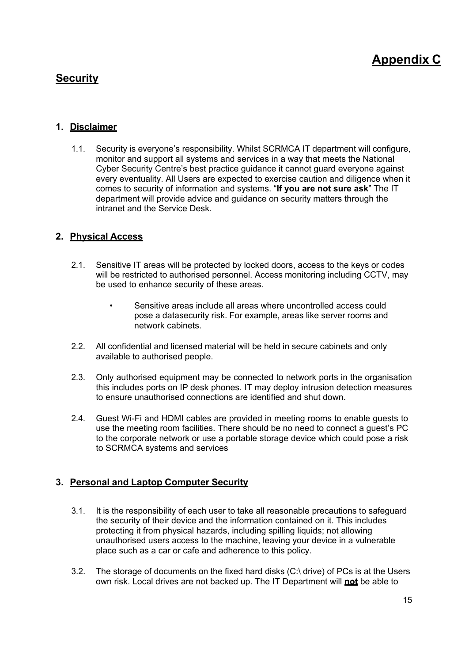# <span id="page-15-0"></span>**Security**

# <span id="page-15-1"></span>**1. Disclaimer**

1.1. Security is everyone's responsibility. Whilst SCRMCA IT department will configure, monitor and support all systems and services in a way that meets the National Cyber Security Centre's best practice guidance it cannot guard everyone against every eventuality. All Users are expected to exercise caution and diligence when it comes to security of information and systems. "**If you are not sure ask**" The IT department will provide advice and guidance on security matters through the intranet and the Service Desk.

# <span id="page-15-2"></span>**2. Physical Access**

- 2.1. Sensitive IT areas will be protected by locked doors, access to the keys or codes will be restricted to authorised personnel. Access monitoring including CCTV, may be used to enhance security of these areas.
	- Sensitive areas include all areas where uncontrolled access could pose a datasecurity risk. For example, areas like server rooms and network cabinets.
- 2.2. All confidential and licensed material will be held in secure cabinets and only available to authorised people.
- 2.3. Only authorised equipment may be connected to network ports in the organisation this includes ports on IP desk phones. IT may deploy intrusion detection measures to ensure unauthorised connections are identified and shut down.
- 2.4. Guest Wi-Fi and HDMI cables are provided in meeting rooms to enable guests to use the meeting room facilities. There should be no need to connect a guest's PC to the corporate network or use a portable storage device which could pose a risk to SCRMCA systems and services

# <span id="page-15-3"></span>**3. Personal and Laptop Computer Security**

- 3.1. It is the responsibility of each user to take all reasonable precautions to safeguard the security of their device and the information contained on it. This includes protecting it from physical hazards, including spilling liquids; not allowing unauthorised users access to the machine, leaving your device in a vulnerable place such as a car or cafe and adherence to this policy.
- 3.2. The storage of documents on the fixed hard disks (C:\ drive) of PCs is at the Users own risk. Local drives are not backed up. The IT Department will **not** be able to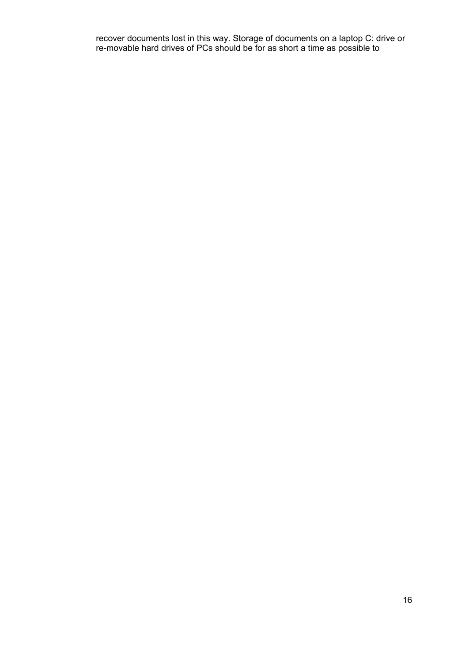recover documents lost in this way. Storage of documents on a laptop C: drive or re-movable hard drives of PCs should be for as short a time as possible to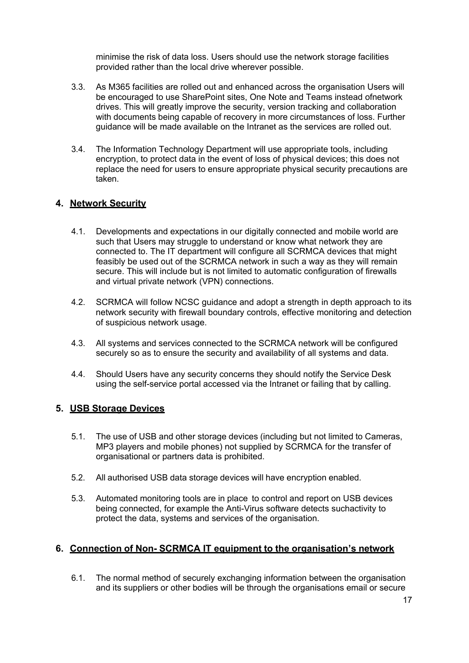minimise the risk of data loss. Users should use the network storage facilities provided rather than the local drive wherever possible.

- 3.3. As M365 facilities are rolled out and enhanced across the organisation Users will be encouraged to use SharePoint sites, One Note and Teams instead ofnetwork drives. This will greatly improve the security, version tracking and collaboration with documents being capable of recovery in more circumstances of loss. Further guidance will be made available on the Intranet as the services are rolled out.
- 3.4. The Information Technology Department will use appropriate tools, including encryption, to protect data in the event of loss of physical devices; this does not replace the need for users to ensure appropriate physical security precautions are taken.

#### <span id="page-17-0"></span>**4. Network Security**

- 4.1. Developments and expectations in our digitally connected and mobile world are such that Users may struggle to understand or know what network they are connected to. The IT department will configure all SCRMCA devices that might feasibly be used out of the SCRMCA network in such a way as they will remain secure. This will include but is not limited to automatic configuration of firewalls and virtual private network (VPN) connections.
- 4.2. SCRMCA will follow NCSC guidance and adopt a strength in depth approach to its network security with firewall boundary controls, effective monitoring and detection of suspicious network usage.
- 4.3. All systems and services connected to the SCRMCA network will be configured securely so as to ensure the security and availability of all systems and data.
- 4.4. Should Users have any security concerns they should notify the Service Desk using the self-service portal accessed via the Intranet or failing that by calling.

#### **5. USB Storage Devices**

- 5.1. The use of USB and other storage devices (including but not limited to Cameras, MP3 players and mobile phones) not supplied by SCRMCA for the transfer of organisational or partners data is prohibited.
- 5.2. All authorised USB data storage devices will have encryption enabled.
- 5.3. Automated monitoring tools are in place to control and report on USB devices being connected, for example the Anti-Virus software detects suchactivity to protect the data, systems and services of the organisation.

# <span id="page-17-1"></span>**6. Connection of Non- SCRMCA IT equipment to the organisation's network**

6.1. The normal method of securely exchanging information between the organisation and its suppliers or other bodies will be through the organisations email or secure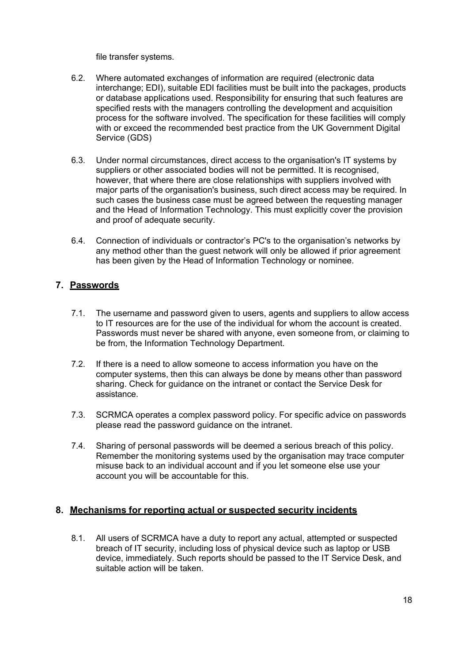file transfer systems.

- 6.2. Where automated exchanges of information are required (electronic data interchange; EDI), suitable EDI facilities must be built into the packages, products or database applications used. Responsibility for ensuring that such features are specified rests with the managers controlling the development and acquisition process for the software involved. The specification for these facilities will comply with or exceed the recommended best practice from the UK Government Digital Service (GDS)
- 6.3. Under normal circumstances, direct access to the organisation's IT systems by suppliers or other associated bodies will not be permitted. It is recognised, however, that where there are close relationships with suppliers involved with major parts of the organisation's business, such direct access may be required. In such cases the business case must be agreed between the requesting manager and the Head of Information Technology. This must explicitly cover the provision and proof of adequate security.
- 6.4. Connection of individuals or contractor's PC's to the organisation's networks by any method other than the guest network will only be allowed if prior agreement has been given by the Head of Information Technology or nominee.

# **7. Passwords**

- 7.1. The username and password given to users, agents and suppliers to allow access to IT resources are for the use of the individual for whom the account is created. Passwords must never be shared with anyone, even someone from, or claiming to be from, the Information Technology Department.
- 7.2. If there is a need to allow someone to access information you have on the computer systems, then this can always be done by means other than password sharing. Check for guidance on the intranet or contact the Service Desk for assistance.
- 7.3. SCRMCA operates a complex password policy. For specific advice on passwords please read the password guidance on the intranet.
- 7.4. Sharing of personal passwords will be deemed a serious breach of this policy. Remember the monitoring systems used by the organisation may trace computer misuse back to an individual account and if you let someone else use your account you will be accountable for this.

#### **8. Mechanisms for reporting actual or suspected security incidents**

8.1. All users of SCRMCA have a duty to report any actual, attempted or suspected breach of IT security, including loss of physical device such as laptop or USB device, immediately. Such reports should be passed to the IT Service Desk, and suitable action will be taken.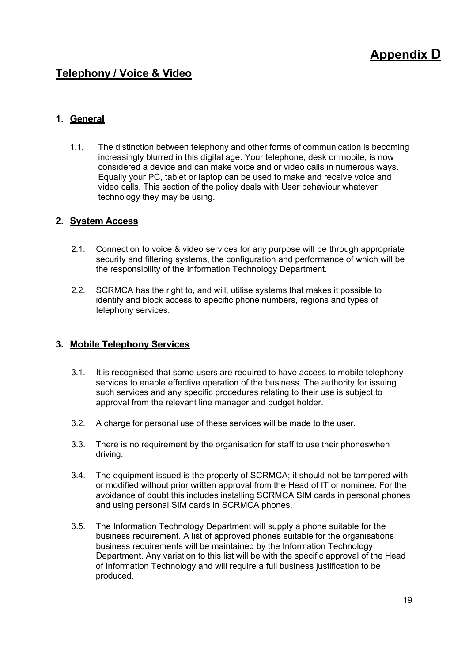# **Appendix D**

# **Telephony / Voice & Video**

# <span id="page-19-0"></span>**1. General**

1.1. The distinction between telephony and other forms of communication is becoming increasingly blurred in this digital age. Your telephone, desk or mobile, is now considered a device and can make voice and or video calls in numerous ways. Equally your PC, tablet or laptop can be used to make and receive voice and video calls. This section of the policy deals with User behaviour whatever technology they may be using.

#### <span id="page-19-1"></span>**2. System Access**

- 2.1. Connection to voice & video services for any purpose will be through appropriate security and filtering systems, the configuration and performance of which will be the responsibility of the Information Technology Department.
- 2.2. SCRMCA has the right to, and will, utilise systems that makes it possible to identify and block access to specific phone numbers, regions and types of telephony services.

#### <span id="page-19-2"></span>**3. Mobile Telephony Services**

- 3.1. It is recognised that some users are required to have access to mobile telephony services to enable effective operation of the business. The authority for issuing such services and any specific procedures relating to their use is subject to approval from the relevant line manager and budget holder.
- 3.2. A charge for personal use of these services will be made to the user.
- 3.3. There is no requirement by the organisation for staff to use their phoneswhen driving.
- 3.4. The equipment issued is the property of SCRMCA; it should not be tampered with or modified without prior written approval from the Head of IT or nominee. For the avoidance of doubt this includes installing SCRMCA SIM cards in personal phones and using personal SIM cards in SCRMCA phones.
- 3.5. The Information Technology Department will supply a phone suitable for the business requirement. A list of approved phones suitable for the organisations business requirements will be maintained by the Information Technology Department. Any variation to this list will be with the specific approval of the Head of Information Technology and will require a full business justification to be produced.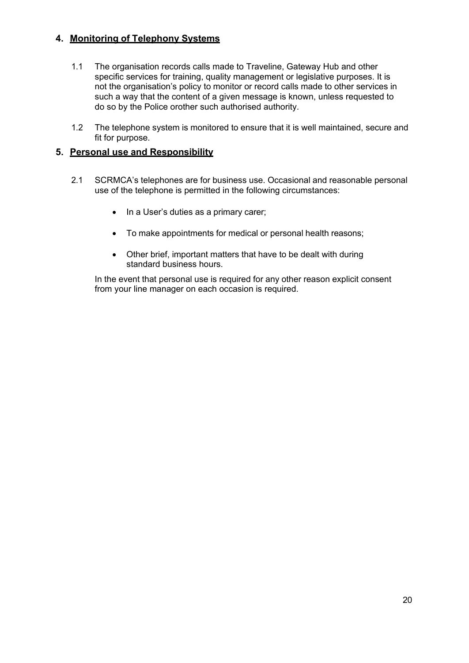# **4. Monitoring of Telephony Systems**

- 1.1 The organisation records calls made to Traveline, Gateway Hub and other specific services for training, quality management or legislative purposes. It is not the organisation's policy to monitor or record calls made to other services in such a way that the content of a given message is known, unless requested to do so by the Police orother such authorised authority.
- 1.2 The telephone system is monitored to ensure that it is well maintained, secure and fit for purpose.

# <span id="page-20-0"></span>**5. Personal use and Responsibility**

- 2.1 SCRMCA's telephones are for business use. Occasional and reasonable personal use of the telephone is permitted in the following circumstances:
	- In a User's duties as a primary carer;
	- To make appointments for medical or personal health reasons;
	- Other brief, important matters that have to be dealt with during standard business hours.

In the event that personal use is required for any other reason explicit consent from your line manager on each occasion is required.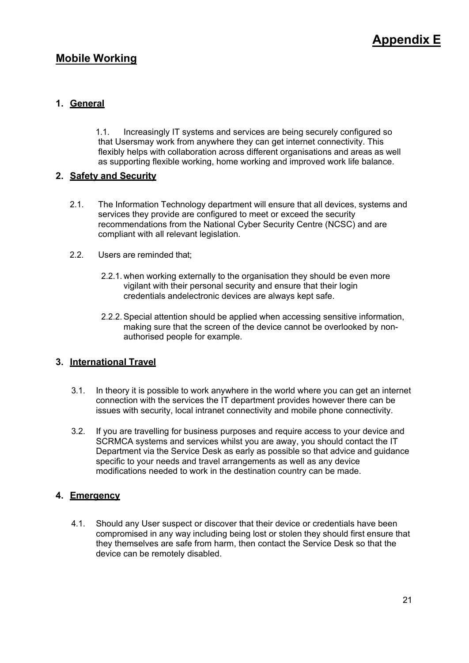# <span id="page-21-0"></span>**Mobile Working**

# <span id="page-21-1"></span>**1. General**

1.1. Increasingly IT systems and services are being securely configured so that Usersmay work from anywhere they can get internet connectivity. This flexibly helps with collaboration across different organisations and areas as well as supporting flexible working, home working and improved work life balance.

# <span id="page-21-2"></span>**2. Safety and Security**

- 2.1. The Information Technology department will ensure that all devices, systems and services they provide are configured to meet or exceed the security recommendations from the National Cyber Security Centre (NCSC) and are compliant with all relevant legislation.
- 2.2. Users are reminded that;
	- 2.2.1. when working externally to the organisation they should be even more vigilant with their personal security and ensure that their login credentials andelectronic devices are always kept safe.
	- 2.2.2.Special attention should be applied when accessing sensitive information, making sure that the screen of the device cannot be overlooked by nonauthorised people for example.

# <span id="page-21-3"></span>**3. International Travel**

- 3.1. In theory it is possible to work anywhere in the world where you can get an internet connection with the services the IT department provides however there can be issues with security, local intranet connectivity and mobile phone connectivity.
- 3.2. If you are travelling for business purposes and require access to your device and SCRMCA systems and services whilst you are away, you should contact the IT Department via the Service Desk as early as possible so that advice and guidance specific to your needs and travel arrangements as well as any device modifications needed to work in the destination country can be made.

# <span id="page-21-4"></span>**4. Emergency**

4.1. Should any User suspect or discover that their device or credentials have been compromised in any way including being lost or stolen they should first ensure that they themselves are safe from harm, then contact the Service Desk so that the device can be remotely disabled.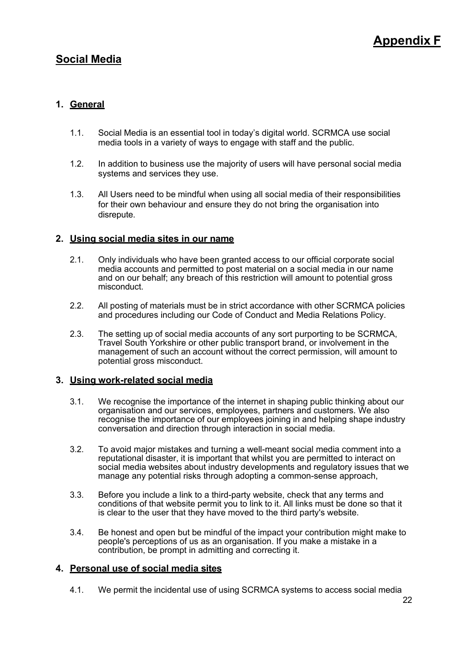# <span id="page-22-0"></span>**Social Media**

# <span id="page-22-1"></span>**1. General**

- 1.1. Social Media is an essential tool in today's digital world. SCRMCA use social media tools in a variety of ways to engage with staff and the public.
- 1.2. In addition to business use the majority of users will have personal social media systems and services they use.
- 1.3. All Users need to be mindful when using all social media of their responsibilities for their own behaviour and ensure they do not bring the organisation into disrepute.

#### <span id="page-22-2"></span>**2. Using social media sites in our name**

- 2.1. Only individuals who have been granted access to our official corporate social media accounts and permitted to post material on a social media in our name and on our behalf; any breach of this restriction will amount to potential gross misconduct.
- 2.2. All posting of materials must be in strict accordance with other SCRMCA policies and procedures including our Code of Conduct and Media Relations Policy.
- 2.3. The setting up of social media accounts of any sort purporting to be SCRMCA, Travel South Yorkshire or other public transport brand, or involvement in the management of such an account without the correct permission, will amount to potential gross misconduct.

#### <span id="page-22-3"></span>**3. Using work-related social media**

- 3.1. We recognise the importance of the internet in shaping public thinking about our organisation and our services, employees, partners and customers. We also recognise the importance of our employees joining in and helping shape industry conversation and direction through interaction in social media.
- 3.2. To avoid major mistakes and turning a well-meant social media comment into a reputational disaster, it is important that whilst you are permitted to interact on social media websites about industry developments and regulatory issues that we manage any potential risks through adopting a common-sense approach,
- 3.3. Before you include a link to a third-party website, check that any terms and conditions of that website permit you to link to it. All links must be done so that it is clear to the user that they have moved to the third party's website.
- 3.4. Be honest and open but be mindful of the impact your contribution might make to people's perceptions of us as an organisation. If you make a mistake in a contribution, be prompt in admitting and correcting it.

#### <span id="page-22-4"></span>**4. Personal use of social media sites**

4.1. We permit the incidental use of using SCRMCA systems to access social media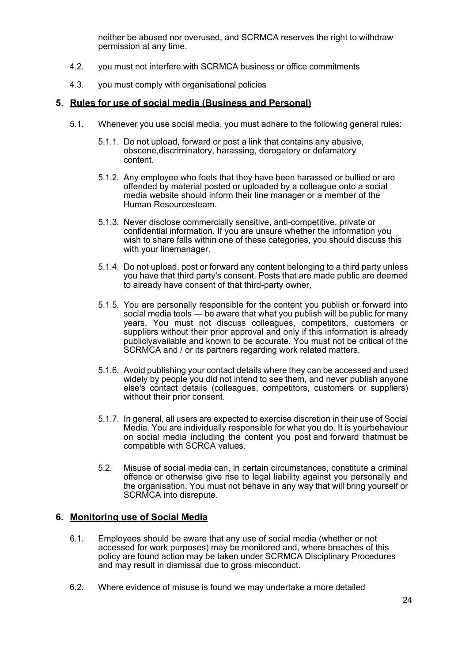neither be abused nor overused, and SCRMCA reserves the right to withdraw permission at any time.

- 4.2. you must not interfere with SCRMCA business or office commitments
- 4.3. you must comply with organisational policies

#### <span id="page-24-0"></span>**5. Rules for use of social media (Business and Personal)**

- 5.1. Whenever you use social media, you must adhere to the following general rules:
	- 5.1.1. Do not upload, forward or post a link that contains any abusive, obscene,discriminatory, harassing, derogatory or defamatory content.
	- 5.1.2. Any employee who feels that they have been harassed or bullied or are offended by material posted or uploaded by a colleague onto a social media website should inform their line manager or a member of the Human Resourcesteam.
	- 5.1.3. Never disclose commercially sensitive, anti-competitive, private or confidential information. If you are unsure whether the information you wish to share falls within one of these categories, you should discuss this with your linemanager.
	- 5.1.4. Do not upload, post or forward any content belonging to a third party unless you have that third party's consent. Posts that are made public are deemed to already have consent of that third-party owner,
	- 5.1.5. You are personally responsible for the content you publish or forward into social media tools — be aware that what you publish will be public for many years. You must not discuss colleagues, competitors, customers or suppliers without their prior approval and only if this information is already publiclyavailable and known to be accurate. You must not be critical of the SCRMCA and / or its partners regarding work related matters.
	- 5.1.6. Avoid publishing your contact details where they can be accessed and used widely by people you did not intend to see them, and never publish anyone else's contact details (colleagues, competitors, customers or suppliers) without their prior consent.
	- 5.1.7. In general, all users are expected to exercise discretion in their use of Social Media. You are individually responsible for what you do. It is yourbehaviour on social media including the content you post and forward thatmust be compatible with SCRCA values.
	- 5.2. Misuse of social media can, in certain circumstances, constitute a criminal offence or otherwise give rise to legal liability against you personally and the organisation. You must not behave in any way that will bring yourself or SCRMCA into disrepute.

#### <span id="page-24-1"></span>**6. Monitoring use of Social Media**

- 6.1. Employees should be aware that any use of social media (whether or not accessed for work purposes) may be monitored and, where breaches of this policy are found action may be taken under SCRMCA Disciplinary Procedures and may result in dismissal due to gross misconduct.
- 6.2. Where evidence of misuse is found we may undertake a more detailed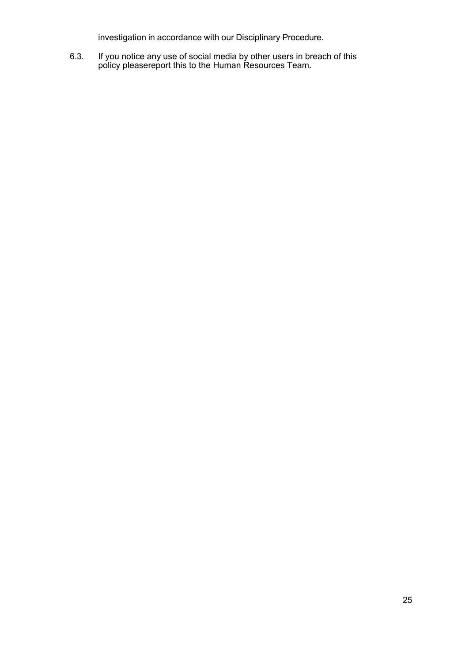investigation in accordance with our Disciplinary Procedure.

6.3. If you notice any use of social media by other users in breach of this policy pleasereport this to the Human Resources Team.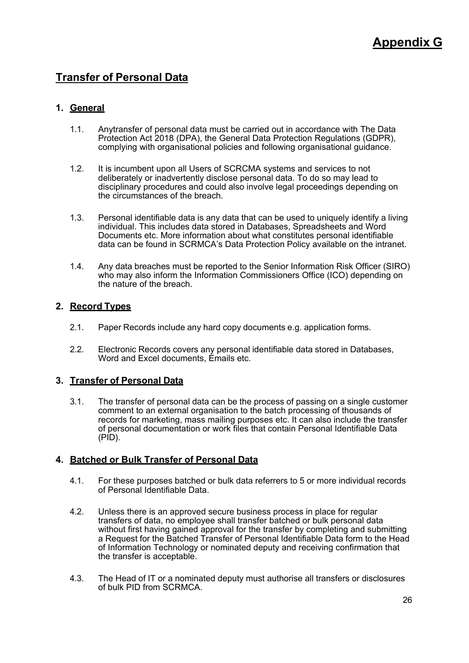# <span id="page-26-0"></span>**Transfer of Personal Data**

# <span id="page-26-1"></span>**1. General**

- 1.1. Anytransfer of personal data must be carried out in accordance with The Data Protection Act 2018 (DPA), the General Data Protection Regulations (GDPR), complying with organisational policies and following organisational guidance.
- 1.2. It is incumbent upon all Users of SCRCMA systems and services to not deliberately or inadvertently disclose personal data. To do so may lead to disciplinary procedures and could also involve legal proceedings depending on the circumstances of the breach.
- 1.3. Personal identifiable data is any data that can be used to uniquely identify a living individual. This includes data stored in Databases, Spreadsheets and Word Documents etc. More information about what constitutes personal identifiable data can be found in SCRMCA's Data Protection Policy available on the intranet.
- 1.4. Any data breaches must be reported to the Senior Information Risk Officer (SIRO) who may also inform the Information Commissioners Office (ICO) depending on the nature of the breach.

#### <span id="page-26-2"></span>**2. Record Types**

- 2.1. Paper Records include any hard copy documents e.g. application forms.
- 2.2. Electronic Records covers any personal identifiable data stored in Databases, Word and Excel documents, Emails etc.

# <span id="page-26-3"></span>**3. Transfer of Personal Data**

3.1. The transfer of personal data can be the process of passing on a single customer comment to an external organisation to the batch processing of thousands of records for marketing, mass mailing purposes etc. It can also include the transfer of personal documentation or work files that contain Personal Identifiable Data (PID).

# <span id="page-26-4"></span>**4. Batched or Bulk Transfer of Personal Data**

- 4.1. For these purposes batched or bulk data referrers to 5 or more individual records of Personal Identifiable Data.
- 4.2. Unless there is an approved secure business process in place for regular transfers of data, no employee shall transfer batched or bulk personal data without first having gained approval for the transfer by completing and submitting a Request for the Batched Transfer of Personal Identifiable Data form to the Head of Information Technology or nominated deputy and receiving confirmation that the transfer is acceptable.
- 4.3. The Head of IT or a nominated deputy must authorise all transfers or disclosures of bulk PID from SCRMCA.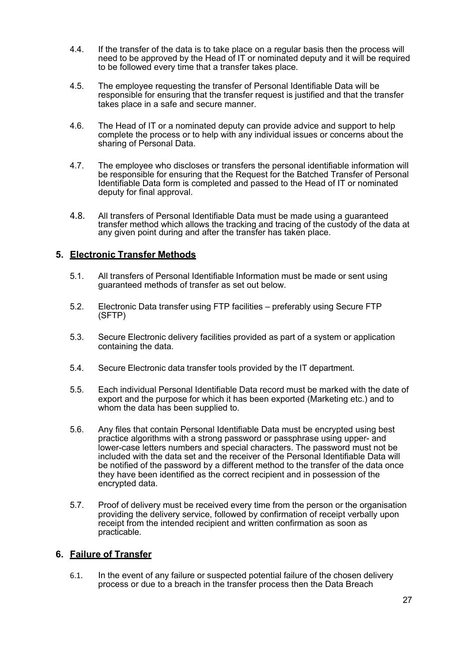- 4.4. If the transfer of the data is to take place on a regular basis then the process will need to be approved by the Head of IT or nominated deputy and it will be required to be followed every time that a transfer takes place.
- 4.5. The employee requesting the transfer of Personal Identifiable Data will be responsible for ensuring that the transfer request is justified and that the transfer takes place in a safe and secure manner.
- 4.6. The Head of IT or a nominated deputy can provide advice and support to help complete the process or to help with any individual issues or concerns about the sharing of Personal Data.
- 4.7. The employee who discloses or transfers the personal identifiable information will be responsible for ensuring that the Request for the Batched Transfer of Personal Identifiable Data form is completed and passed to the Head of IT or nominated deputy for final approval.
- 4.8. All transfers of Personal Identifiable Data must be made using a guaranteed transfer method which allows the tracking and tracing of the custody of the data at any given point during and after the transfer has taken place.

# <span id="page-27-0"></span>**5. Electronic Transfer Methods**

- 5.1. All transfers of Personal Identifiable Information must be made or sent using guaranteed methods of transfer as set out below.
- 5.2. Electronic Data transfer using FTP facilities preferably using Secure FTP (SFTP)
- 5.3. Secure Electronic delivery facilities provided as part of a system or application containing the data.
- 5.4. Secure Electronic data transfer tools provided by the IT department.
- 5.5. Each individual Personal Identifiable Data record must be marked with the date of export and the purpose for which it has been exported (Marketing etc.) and to whom the data has been supplied to.
- 5.6. Any files that contain Personal Identifiable Data must be encrypted using best practice algorithms with a strong password or passphrase using upper- and lower-case letters numbers and special characters. The password must not be included with the data set and the receiver of the Personal Identifiable Data will be notified of the password by a different method to the transfer of the data once they have been identified as the correct recipient and in possession of the encrypted data.
- 5.7. Proof of delivery must be received every time from the person or the organisation providing the delivery service, followed by confirmation of receipt verbally upon receipt from the intended recipient and written confirmation as soon as practicable.

# <span id="page-27-1"></span>**6. Failure of Transfer**

6.1. In the event of any failure or suspected potential failure of the chosen delivery process or due to a breach in the transfer process then the Data Breach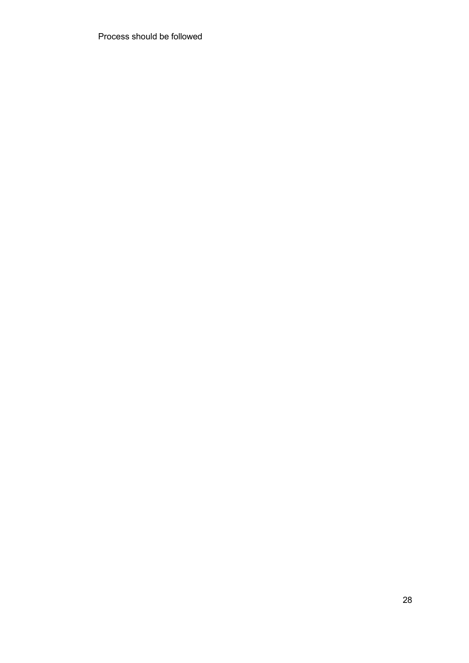Process should be followed